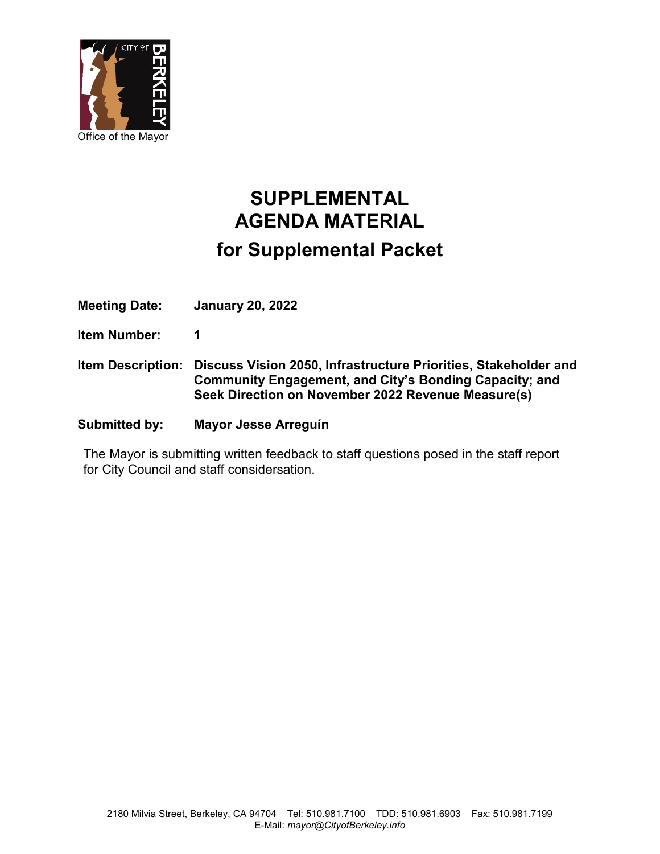

## **SUPPLEMENTAL AGENDA MATERIAL for Supplemental Packet**

**Meeting Date: January 20, 2022**

**Item Number: 1**

**Item Description: Discuss Vision 2050, Infrastructure Priorities, Stakeholder and Community Engagement, and City's Bonding Capacity; and Seek Direction on November 2022 Revenue Measure(s)**

**Submitted by: Mayor Jesse Arreguín** 

The Mayor is submitting written feedback to staff questions posed in the staff report for City Council and staff considersation.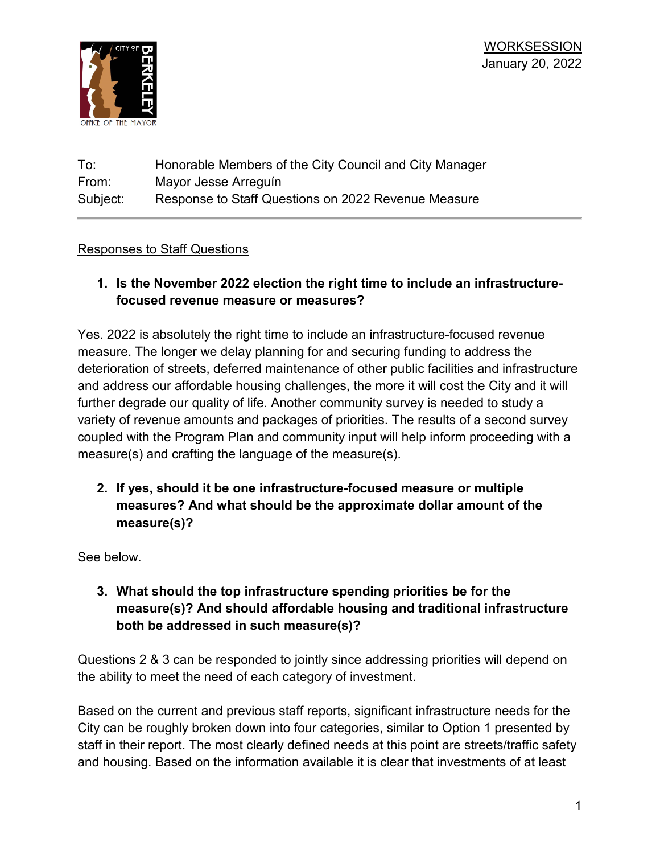

## To: Honorable Members of the City Council and City Manager From: Mayor Jesse Arreguín Subject: Response to Staff Questions on 2022 Revenue Measure

## Responses to Staff Questions

**1. Is the November 2022 election the right time to include an infrastructurefocused revenue measure or measures?**

Yes. 2022 is absolutely the right time to include an infrastructure-focused revenue measure. The longer we delay planning for and securing funding to address the deterioration of streets, deferred maintenance of other public facilities and infrastructure and address our affordable housing challenges, the more it will cost the City and it will further degrade our quality of life. Another community survey is needed to study a variety of revenue amounts and packages of priorities. The results of a second survey coupled with the Program Plan and community input will help inform proceeding with a measure(s) and crafting the language of the measure(s).

**2. If yes, should it be one infrastructure-focused measure or multiple measures? And what should be the approximate dollar amount of the measure(s)?**

See below.

**3. What should the top infrastructure spending priorities be for the measure(s)? And should affordable housing and traditional infrastructure both be addressed in such measure(s)?**

Questions 2 & 3 can be responded to jointly since addressing priorities will depend on the ability to meet the need of each category of investment.

Based on the current and previous staff reports, significant infrastructure needs for the City can be roughly broken down into four categories, similar to Option 1 presented by staff in their report. The most clearly defined needs at this point are streets/traffic safety and housing. Based on the information available it is clear that investments of at least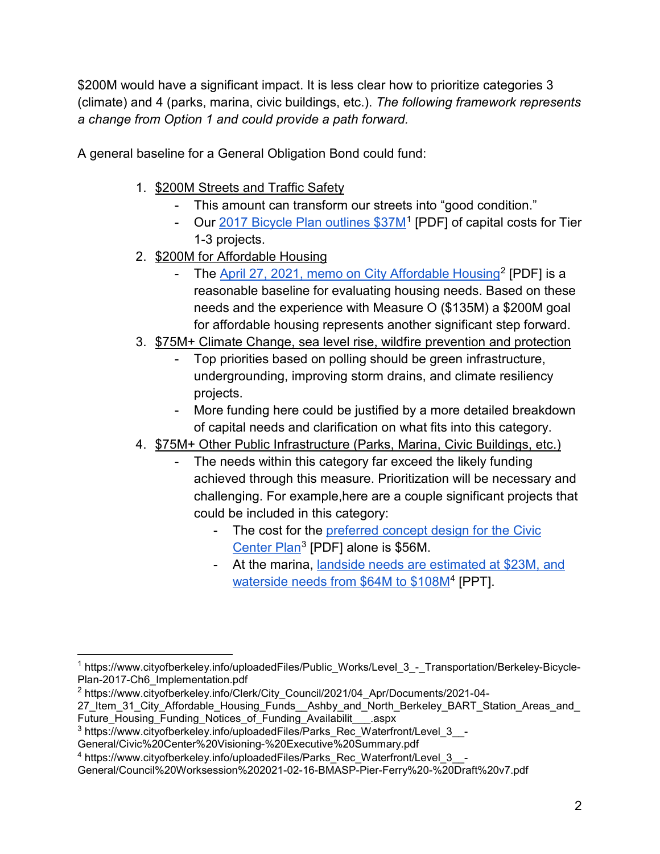\$200M would have a significant impact. It is less clear how to prioritize categories 3 (climate) and 4 (parks, marina, civic buildings, etc.). *The following framework represents a change from Option 1 and could provide a path forward.*

A general baseline for a General Obligation Bond could fund:

- 1. \$200M Streets and Traffic Safety
	- This amount can transform our streets into "good condition."
	- Our [2017 Bicycle Plan outlines \\$37M](https://www.cityofberkeley.info/uploadedFiles/Public_Works/Level_3_-_Transportation/Berkeley-Bicycle-Plan-2017-Ch6_Implementation.pdf)<sup>[1](#page-2-0)</sup> [PDF] of capital costs for Tier 1-3 projects.
- 2. \$200M for Affordable Housing
	- The [April 27, 2021, memo on City Affordable Housing](https://www.cityofberkeley.info/Clerk/City_Council/2021/04_Apr/Documents/2021-04-27_Item_31_City_Affordable_Housing_Funds__Ashby_and_North_Berkeley_BART_Station_Areas_and_Future_Housing_Funding_Notices_of_Funding_Availabilit___.aspx)<sup>[2](#page-2-1)</sup> [PDF] is a reasonable baseline for evaluating housing needs. Based on these needs and the experience with Measure O (\$135M) a \$200M goal for affordable housing represents another significant step forward.
- 3. \$75M+ Climate Change, sea level rise, wildfire prevention and protection
	- Top priorities based on polling should be green infrastructure, undergrounding, improving storm drains, and climate resiliency projects.
	- More funding here could be justified by a more detailed breakdown of capital needs and clarification on what fits into this category.
- 4. \$75M+ Other Public Infrastructure (Parks, Marina, Civic Buildings, etc.)
	- The needs within this category far exceed the likely funding achieved through this measure. Prioritization will be necessary and challenging. For example,here are a couple significant projects that could be included in this category:
		- The cost for the preferred concept design for the Civic [Center Plan](https://www.cityofberkeley.info/uploadedFiles/Parks_Rec_Waterfront/Level_3__-General/Civic%20Center%20Visioning-%20Executive%20Summary.pdf)[3](#page-2-2) [PDF] alone is \$56M.
		- At the marina, [landside needs are estimated at \\$23M, and](https://www.cityofberkeley.info/uploadedFiles/Parks_Rec_Waterfront/Level_3__-General/Council%20Worksession%202021-02-16-BMASP-Pier-Ferry%20-%20Draft%20v7.pdf)  [waterside needs from \\$64M to \\$108M](https://www.cityofberkeley.info/uploadedFiles/Parks_Rec_Waterfront/Level_3__-General/Council%20Worksession%202021-02-16-BMASP-Pier-Ferry%20-%20Draft%20v7.pdf)[4](#page-2-3) [PPT].

<span id="page-2-0"></span><sup>&</sup>lt;sup>1</sup> https://www.cityofberkeley.info/uploadedFiles/Public\_Works/Level\_3\_-\_Transportation/Berkeley-Bicycle-Plan-2017-Ch6\_Implementation.pdf

<span id="page-2-1"></span><sup>2</sup> https://www.cityofberkeley.info/Clerk/City\_Council/2021/04\_Apr/Documents/2021-04-

<sup>27</sup>\_Item\_31\_City\_Affordable\_Housing\_Funds\_\_Ashby\_and\_North\_Berkeley\_BART\_Station\_Areas\_and\_ Future Housing Funding Notices of Funding Availabilit aspx

<span id="page-2-2"></span> $3$  https://www.cityofberkeley.info/uploadedFiles/Parks\_Rec\_Waterfront/Level\_3\_\_-

General/Civic%20Center%20Visioning-%20Executive%20Summary.pdf

<span id="page-2-3"></span><sup>4</sup> https://www.cityofberkeley.info/uploadedFiles/Parks\_Rec\_Waterfront/Level\_3\_\_-

General/Council%20Worksession%202021-02-16-BMASP-Pier-Ferry%20-%20Draft%20v7.pdf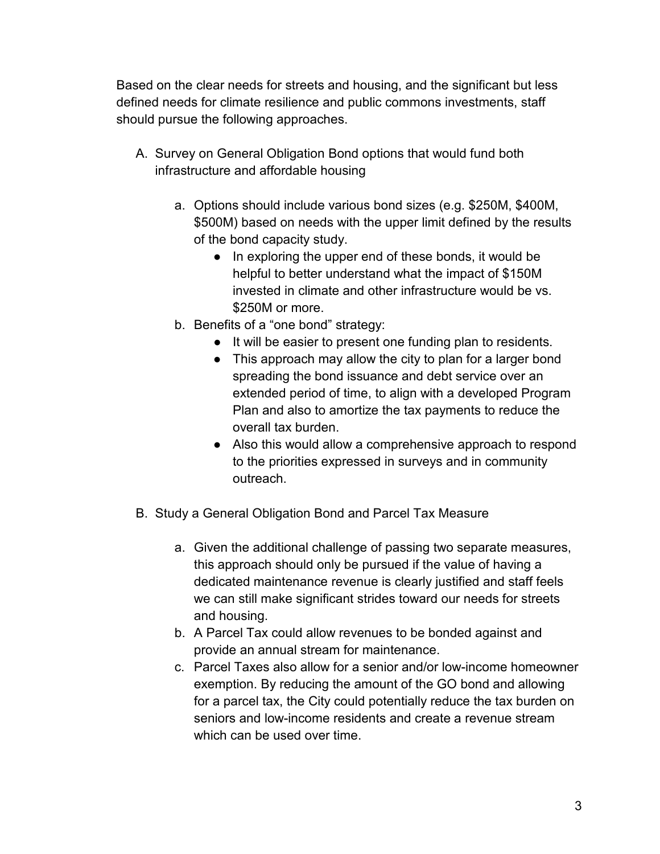Based on the clear needs for streets and housing, and the significant but less defined needs for climate resilience and public commons investments, staff should pursue the following approaches.

- A. Survey on General Obligation Bond options that would fund both infrastructure and affordable housing
	- a. Options should include various bond sizes (e.g. \$250M, \$400M, \$500M) based on needs with the upper limit defined by the results of the bond capacity study.
		- In exploring the upper end of these bonds, it would be helpful to better understand what the impact of \$150M invested in climate and other infrastructure would be vs. \$250M or more.
	- b. Benefits of a "one bond" strategy:
		- It will be easier to present one funding plan to residents.
		- This approach may allow the city to plan for a larger bond spreading the bond issuance and debt service over an extended period of time, to align with a developed Program Plan and also to amortize the tax payments to reduce the overall tax burden.
		- Also this would allow a comprehensive approach to respond to the priorities expressed in surveys and in community outreach.
- B. Study a General Obligation Bond and Parcel Tax Measure
	- a. Given the additional challenge of passing two separate measures, this approach should only be pursued if the value of having a dedicated maintenance revenue is clearly justified and staff feels we can still make significant strides toward our needs for streets and housing.
	- b. A Parcel Tax could allow revenues to be bonded against and provide an annual stream for maintenance.
	- c. Parcel Taxes also allow for a senior and/or low-income homeowner exemption. By reducing the amount of the GO bond and allowing for a parcel tax, the City could potentially reduce the tax burden on seniors and low-income residents and create a revenue stream which can be used over time.